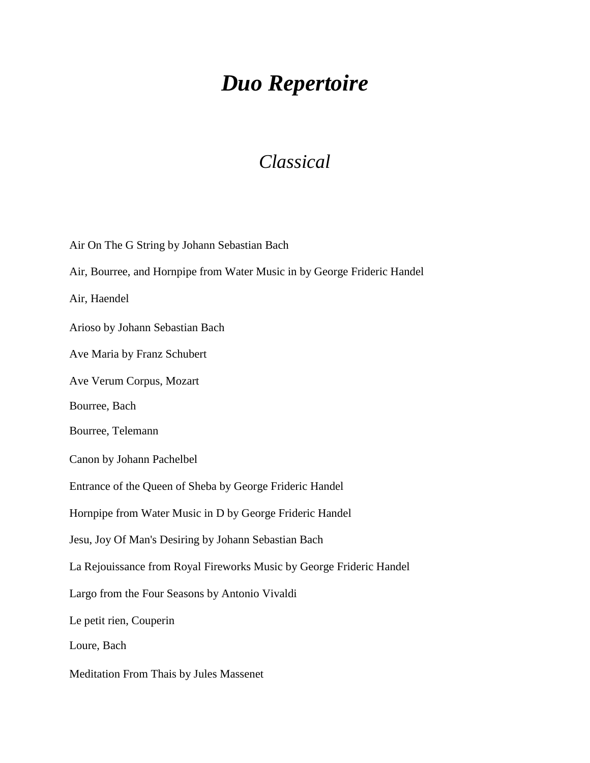## *Duo Repertoire*

## *Classical*

Air On The G String by Johann Sebastian Bach Air, Bourree, and Hornpipe from Water Music in by George Frideric Handel Air, Haendel Arioso by Johann Sebastian Bach Ave Maria by Franz Schubert Ave Verum Corpus, Mozart Bourree, Bach Bourree, Telemann Canon by Johann Pachelbel Entrance of the Queen of Sheba by George Frideric Handel Hornpipe from Water Music in D by George Frideric Handel Jesu, Joy Of Man's Desiring by Johann Sebastian Bach La Rejouissance from Royal Fireworks Music by George Frideric Handel Largo from the Four Seasons by Antonio Vivaldi Le petit rien, Couperin Loure, Bach Meditation From Thais by Jules Massenet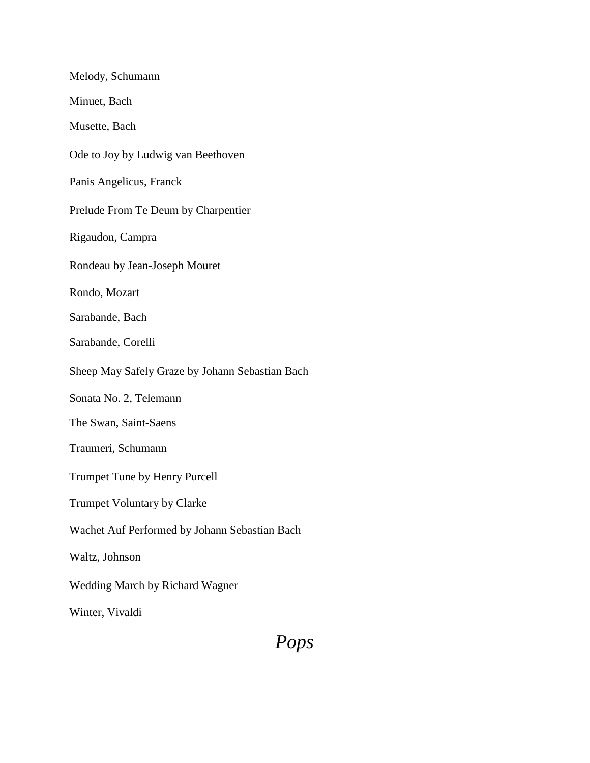## *Pops*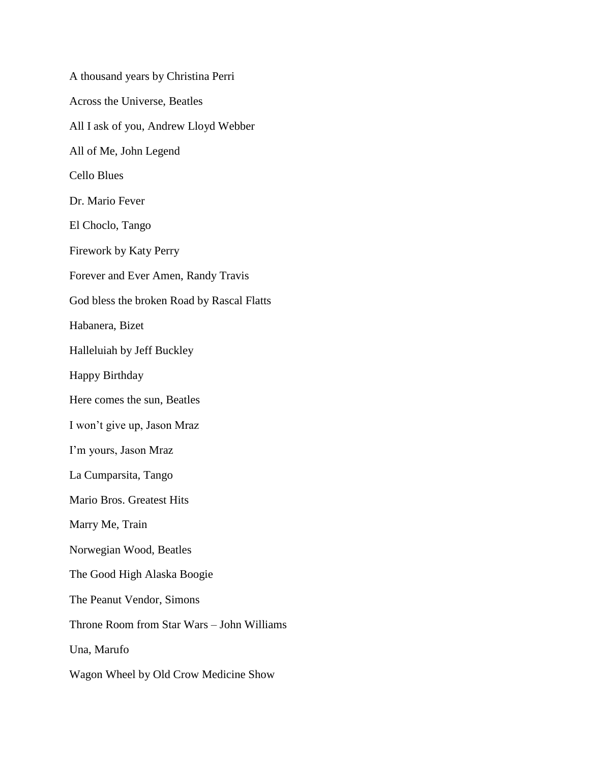A thousand years by Christina Perri Across the Universe, Beatles All I ask of you, Andrew Lloyd Webber All of Me, John Legend Cello Blues Dr. Mario Fever El Choclo, Tango Firework by Katy Perry Forever and Ever Amen, Randy Travis God bless the broken Road by Rascal Flatts Habanera, Bizet Halleluiah by Jeff Buckley Happy Birthday Here comes the sun, Beatles I won't give up, Jason Mraz I'm yours, Jason Mraz La Cumparsita, Tango Mario Bros. Greatest Hits Marry Me, Train Norwegian Wood, Beatles The Good High Alaska Boogie The Peanut Vendor, Simons Throne Room from Star Wars – John Williams Una, Marufo Wagon Wheel by Old Crow Medicine Show